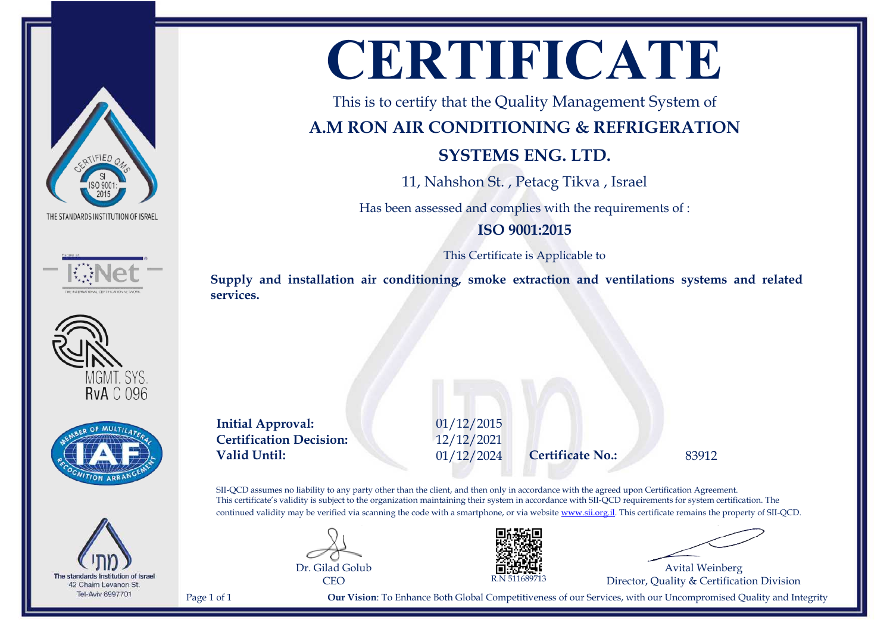







The standards Institution of Israel 42 Chaim Levanon St. Tel-Aviv 6997701

# **CERTIFICATE**

This is to certify that the Quality Management System of

# **A.M RON AIR CONDITIONING & REFRIGERATION**

# **SYSTEMS ENG. LTD.**

11, Nahshon St. , Petacg Tikva , Israel

Has been assessed and complies with the requirements of :

## **ISO 9001:2015**

This Certificate is Applicable to

**Supply and installation air conditioning, smoke extraction and ventilations systems and related services.**

**Initial Approval:** 01/12/2015 **Certification Decision:** 12/12/2021 **Valid Until:** 01/12/2024 **Certificate No.:** 83912

SII-QCD assumes no liability to any party other than the client, and then only in accordance with the agreed upon Certification Agreement. This certificate's validity is subject to the organization maintaining their system in accordance with SII-QCD requirements for system certification. The continued validity may be verified via scanning the code with a smartphone, or via website [www.sii.org.il.](http://www.sii.org.il) This certificate remains the property of SII-QCD.





Avital Weinberg Director, Quality & Certification Division

Page 1 of 1 **Our Vision**: To Enhance Both Global Competitiveness of our Services, with our Uncompromised Quality and Integrity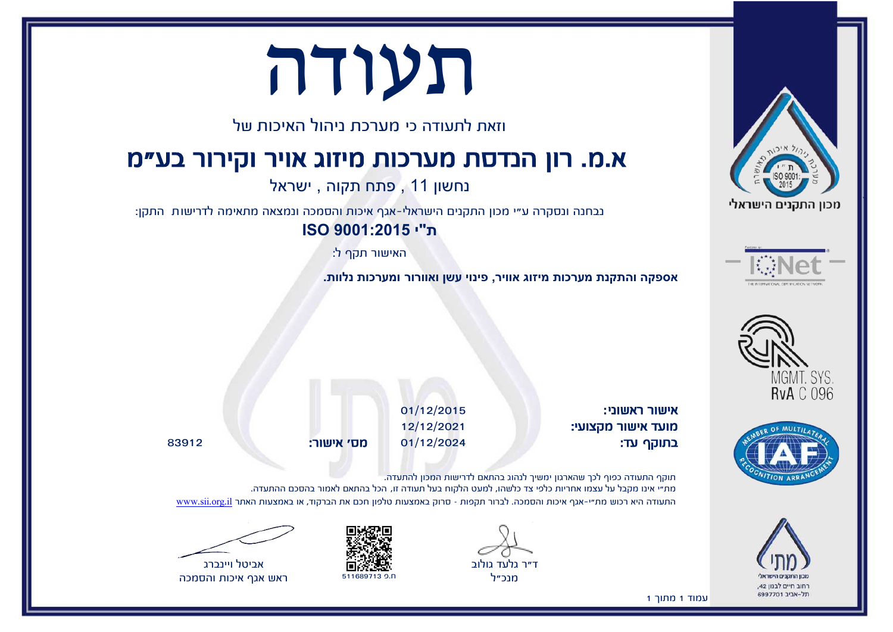

'







תעודה

וזאת לתעודה כי מערכת ניהול האיכות של

# א.מ. רון הנדסת מערכות מיזוג אויר וקירור בע"מ

נחשון 11 , פתח תקוה , ישראל

נבחנה ונסקרה ע"י מכון התקנים הישראלי-אגף איכות והסמכה ונמצאה מתאימה לדרישות התקן:

**ת"י 9001:2015 ISO**

האישור תקף ל:

**אספקה והתקנת מערכות מיזוג אוויר, פינוי עשן ואוורור ומערכות נלוות.**

אישור ראשוני: 01/12/2015 מועד אישור מקצועי: 12/12/2021 בתוקף עד: 01/12/2024 מס' אישור: 83912

תוקף התעודה כפוף לכך שהארגון ימשיך לנהוג בהתאם לדרישות המכון להתעדה. מת"י אינו מקבל על עצמו אחריות כלפי צד כלשהו, למעט הלקוח בעל תעודה זו, הכל בהתאם לאמור בהסכם ההתעדה. התעודה היא רכוש מת"י-אגף איכות והסמכה. לברור תקפות – סרוק באמצעות טלפון חכם את הברקוד, או באמצעות האתר [il.org.sii.www](http://www.sii.org.il)

ד"ר גלעד גולוב

מנכ״ל





ראש אגף איכות והסמכה

עמוד 1 מתוך 1